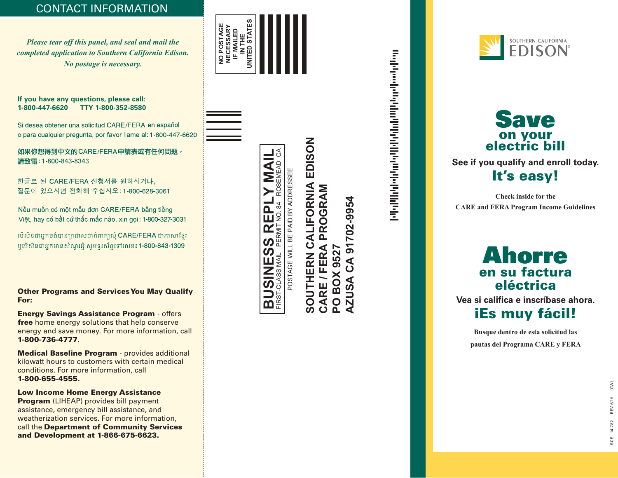## CONTACT INFORMATION

*Please tear off this panel, and seal and mail the completed application to Southern California Edison. No postage is necessary.*

#### **If you have any questions, please call: 1-800-447-6620 TTY 1-800-352-8580**

Si desea obtener una solicitud CARE/FERA en español o para cualquier pregunta, por favor llame al: 1-800-447-6620

如果你想得到中文的CARE/FERA申請表或有任何問題, 請致電: 1-800-843-8343

한글로 된 CARE/FERA 신청서를 원하시거나, 질문이 있으시면 전화해 주십시오: 1-800-628-3061

Nếu muốn có một mẫu đơn CARE/FERA bằng tiếng Việt, hay có bất cứ thắc mắc nào, xin gọi: 1-800-327-3031

បើសិនជាអ្នកចង់បានក្រដាសដាក់ពាក្យសុំ CARE/FERA ជាភាសាខ្មែរ ឬបើសិនជាអ្នកមានសំណួរអ៊ី សូមទូរស័ព្ទទៅលេខ៖1-800-843-1309

Other Programs and Services You May Qualify For:

Energy Savings Assistance Program - offers free home energy solutions that help conserve energy and save money. For more information, call 1-800-736-4777 .

Medical Baseline Program - provides additional kilowatt hours to customers with certain medical conditions. For more information, call 1-800-655-4555.

Low Income Home Energy Assistance Program (LIHEAP) provides bill payment assistance, emergency bill assistance, and weatherization services. For more information, call the Department of Community Services and Development at 1-866-675-6623. IMPORTANT: DO NOT ENLARGE THE FIM and POSTNET barcodes. The FIM and POSTNET barcodes. The FIM and POSTNET barcodes. The FIM and POSTNET barcodes. The FIM and POSTNET barcodes. The FIM and POSTNET barcodes. The FIM as princ جادة Special care must be taken to ensure actual size AND placed properly on the mail piece are t<br>بالته المناسبة المناسبة المناسبة المناسبة المناسبة المناسبة المناسبة المناسبة المناسبة المناسبة المناسبة المناس to meet both USPS regulations and all the compatibility standards. The compatibility standards are the compatibility of the compatibility of the compatibility standards. The compatibility standards are the compatibility st







# **SOUTHERN CALIFORNIA EDISON** SOUTHERN CALIFORNIA EDISON CARE / FERA PROGRAM **CARE / FERA PROGRAM AZUSA CA 91702-9954**  CA 91702-9954 **PO BOX 9527 PO BOX 9527 AZUSA**

under and a factor of the first determination of the first of the first of the first of the first of the first

SOUTHERN CALIFORNIA



**See if you qualify and enroll today.** It's easy!  $\int$  1993 $\int$  $e$ 

**Check inside for the CARE and FERA Program Income Guidelines**

## Ahorre en su factura eléctrica

**Vea si califica e inscríbase ahora.**

## iEs muy fácil!

**Busque dentro de esta solicitud las pautas del Programa CARE y FERA**

Artwork for User Defined (3.75" x 8.5") Layout: sample BRM Env with IMB.lyt

August 12, 2010